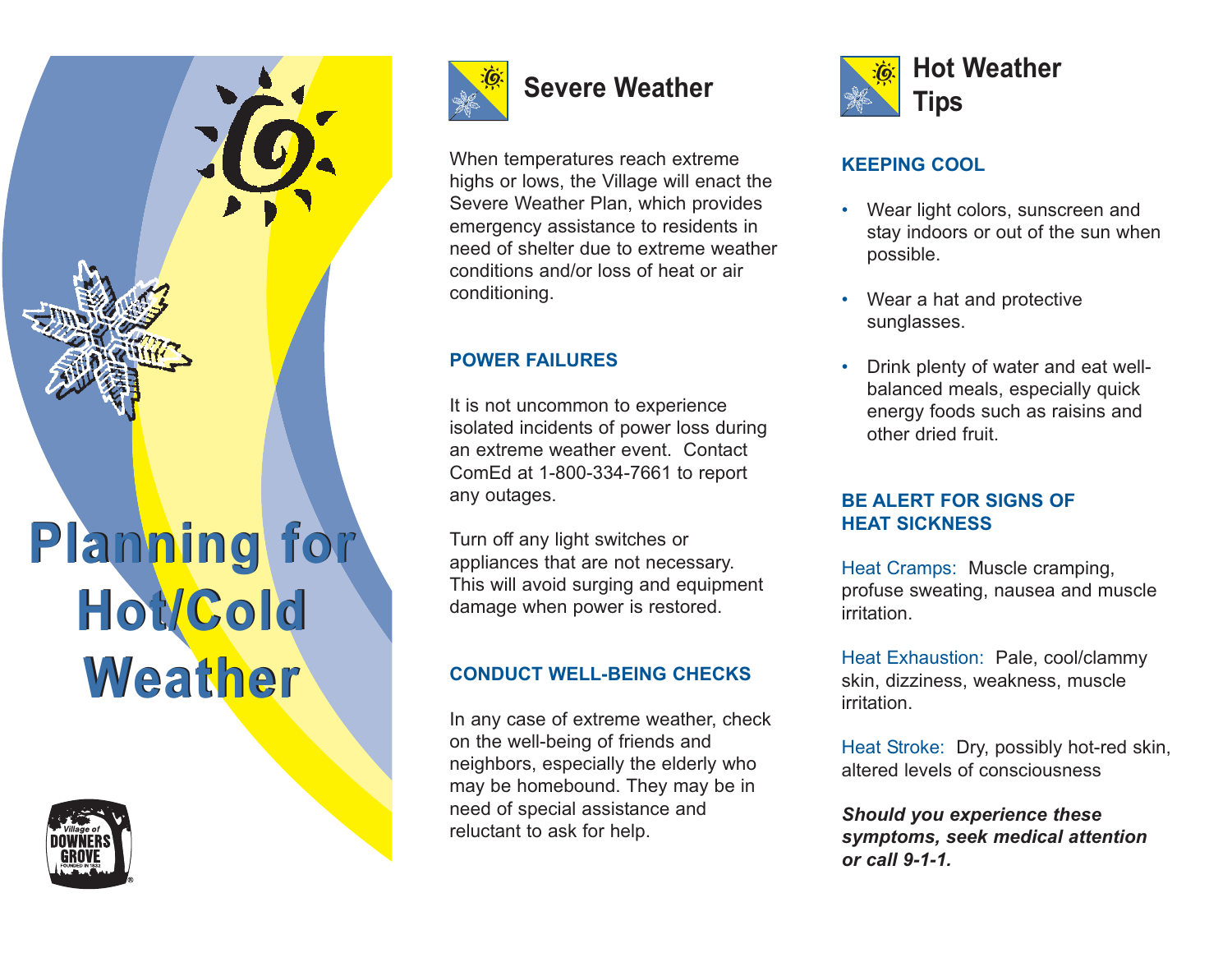

**Weather Weather** 





# **Severe Weather**

When temperatures reach extreme highs or lows, the Village will enact the Severe Weather Plan, which provides emergency assistance to residents in need of shelter due to extreme weather conditions and/or loss of heat or air conditioning.

# **POWER FAILURES**

It is not uncommon to experience isolated incidents of power loss during an extreme weather event. Contact ComEd at 1-800-334-7661 to report any outages.

Turn off any light switches or appliances that are not necessary. This will avoid surging and equipment damage when power is restored.

## **CONDUCT WELL-BEING CHECKS**

In any case of extreme weather, check on the well-being of friends and neighbors, especially the elderly who may be homebound. They may be in need of special assistance and reluctant to ask for help.



# **KEEPING COOL**

- • Wear light colors, sunscreen and stay indoors or out of the sun when possible.
- • Wear a hat and protective sunglasses.
- • Drink plenty of water and eat wellbalanced meals, especially quick energy foods such as raisins and other dried fruit.

#### **BE ALERT FOR SIGNS OF HEAT SICKNESS**

Heat Cramps: Muscle cramping, profuse sweating, nausea and muscle irritation.

Heat Exhaustion: Pale, cool/clammy skin, dizziness, weakness, muscle irritation.

Heat Stroke: Dry, possibly hot-red skin, altered levels of consciousness

*Should you experience these symptoms, seek medical attention or call 9-1-1.*